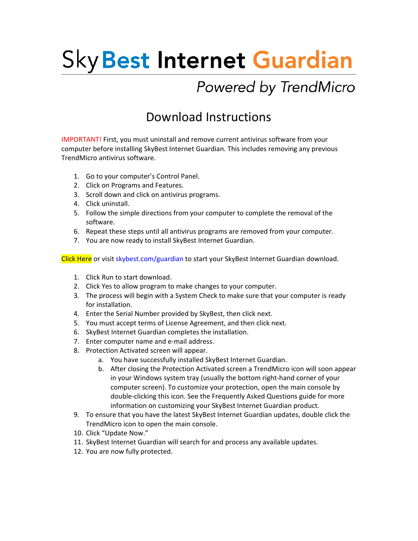## **Sky Best Internet Guardian**

## Powered by TrendMicro

## Download Instructions

IMPORTANT! First, you must uninstall and remove current antivirus software from your computer before installing SkyBest Internet Guardian. This includes removing any previous TrendMicro antivirus software.

- 1. Go to your computer's Control Panel.
- 2. Click on Programs and Features.
- 3. Scroll down and click on antivirus programs.
- 4. Click uninstall.
- 5. Follow the simple directions from your computer to complete the removal of the software.
- 6. Repeat these steps until all antivirus programs are removed from your computer.
- 7. You are now ready to install SkyBest Internet Guardian.

Click [Here](https://gr.trendmicro.com/GREntry/NonPayment?Target=XSP&FunID=CESSP_MUI_DL_HE) or visit skybest.com/guardian to start your SkyBest Internet Guardian download.

- 1. Click Run to start download.
- 2. Click Yes to allow program to make changes to your computer.
- 3. The process will begin with a System Check to make sure that your computer is ready for installation.
- 4. Enter the Serial Number provided by SkyBest, then click next.
- 5. You must accept terms of License Agreement, and then click next.
- 6. SkyBest Internet Guardian completes the installation.
- 7. Enter computer name and e‐mail address.
- 8. Protection Activated screen will appear.
	- a. You have successfully installed SkyBest Internet Guardian.
	- b. After closing the Protection Activated screen a TrendMicro icon will soon appear in your Windows system tray (usually the bottom right‐hand corner of your computer screen). To customize your protection, open the main console by double‐clicking this icon. See the Frequently Asked Questions guide for more information on customizing your SkyBest Internet Guardian product.
- 9. To ensure that you have the latest SkyBest Internet Guardian updates, double click the TrendMicro icon to open the main console.
- 10. Click "Update Now."
- 11. SkyBest Internet Guardian will search for and process any available updates.
- 12. You are now fully protected.